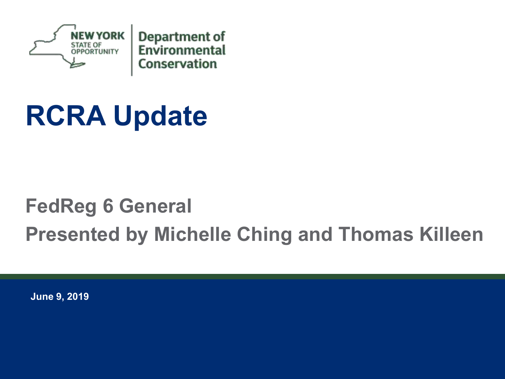

# **RCRA Update**

### **FedReg 6 General Presented by Michelle Ching and Thomas Killeen**

**June 9, 2019**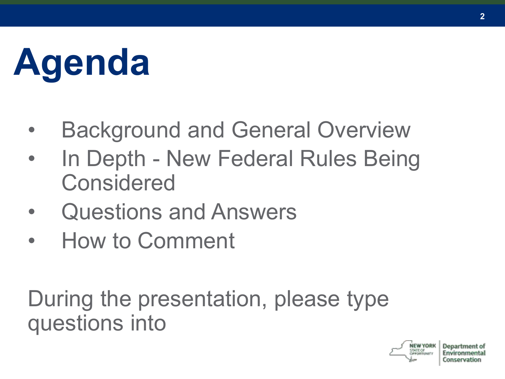# **Agenda**

- Background and General Overview
- In Depth New Federal Rules Being Considered
- Questions and Answers
- How to Comment

During the presentation, please type questions into

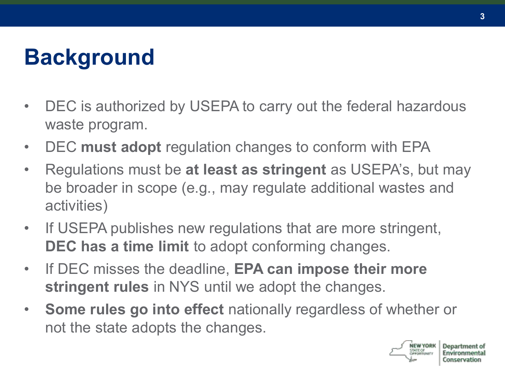### **Background**

- DEC is authorized by USEPA to carry out the federal hazardous waste program.
- DEC **must adopt** regulation changes to conform with EPA
- Regulations must be **at least as stringent** as USEPA's, but may be broader in scope (e.g., may regulate additional wastes and activities)
- If USEPA publishes new regulations that are more stringent, **DEC has a time limit** to adopt conforming changes.
- If DEC misses the deadline, **EPA can impose their more stringent rules** in NYS until we adopt the changes.
- **Some rules go into effect** nationally regardless of whether or not the state adopts the changes.



**3**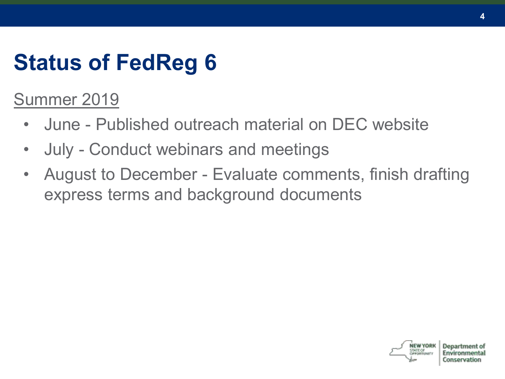### **Status of FedReg 6**

Summer 2019

- June Published outreach material on DEC website
- July Conduct webinars and meetings
- August to December Evaluate comments, finish drafting express terms and background documents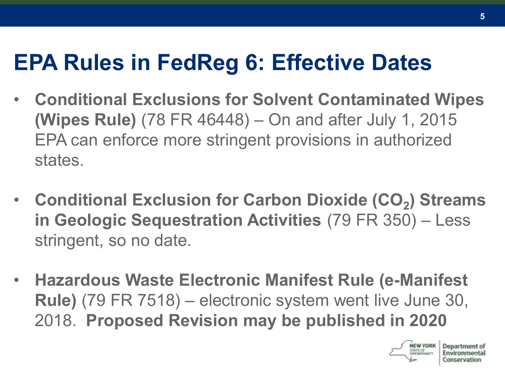### **EPA Rules in FedReg 6: Effective Dates**

- **Conditional Exclusions for Solvent Contaminated Wipes (Wipes Rule)** (78 FR 46448) – On and after July 1, 2015 EPA can enforce more stringent provisions in authorized states.
- **Conditional Exclusion for Carbon Dioxide (CO<sup>2</sup> ) Streams in Geologic Sequestration Activities** (79 FR 350) – Less stringent, so no date.
- **Hazardous Waste Electronic Manifest Rule (e-Manifest Rule)** (79 FR 7518) – electronic system went live June 30, 2018. **Proposed Revision may be published in 2020**

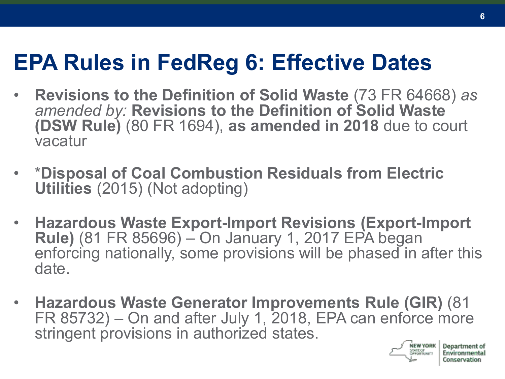### **EPA Rules in FedReg 6: Effective Dates**

- **Revisions to the Definition of Solid Waste** (73 FR 64668) *as amended by:* **Revisions to the Definition of Solid Waste (DSW Rule)** (80 FR 1694), **as amended in 2018** due to court vacatur
- \***Disposal of Coal Combustion Residuals from Electric Utilities** (2015) (Not adopting)
- **Hazardous Waste Export-Import Revisions (Export-Import Rule)** (81 FR 85696) – On January 1, 2017 EPA began enforcing nationally, some provisions will be phased in after this date.
- **Hazardous Waste Generator Improvements Rule (GIR)** (81 FR 85732) – On and after July 1, 2018, EPA can enforce more stringent provisions in authorized states.



Department of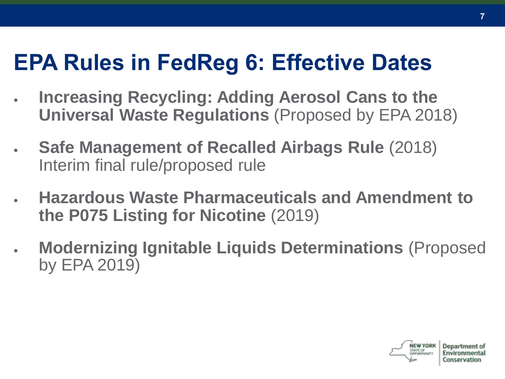### **EPA Rules in FedReg 6: Effective Dates**

- **Increasing Recycling: Adding Aerosol Cans to the Universal Waste Regulations** (Proposed by EPA 2018)
- **Safe Management of Recalled Airbags Rule** (2018) Interim final rule/proposed rule
- **Hazardous Waste Pharmaceuticals and Amendment to the P075 Listing for Nicotine** (2019)
- **Modernizing Ignitable Liquids Determinations** (Proposed by EPA 2019)

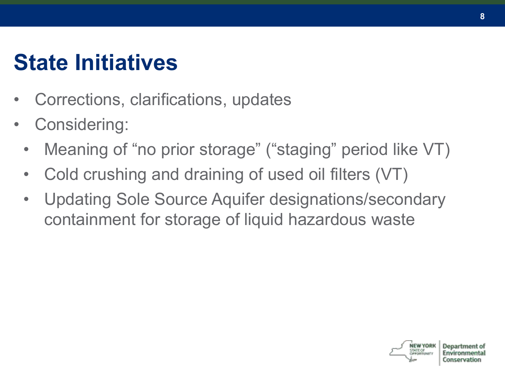### **State Initiatives**

- Corrections, clarifications, updates
- Considering:
	- Meaning of "no prior storage" ("staging" period like VT)
	- Cold crushing and draining of used oil filters (VT)
	- Updating Sole Source Aquifer designations/secondary containment for storage of liquid hazardous waste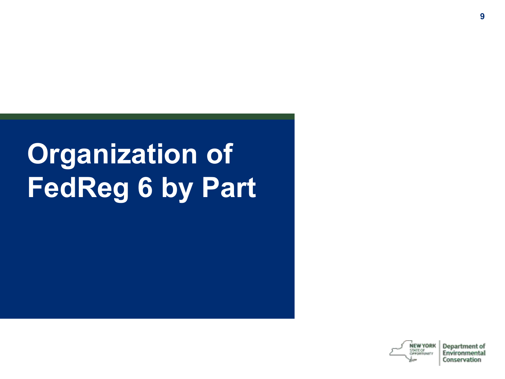# **Organization of FedReg 6 by Part**

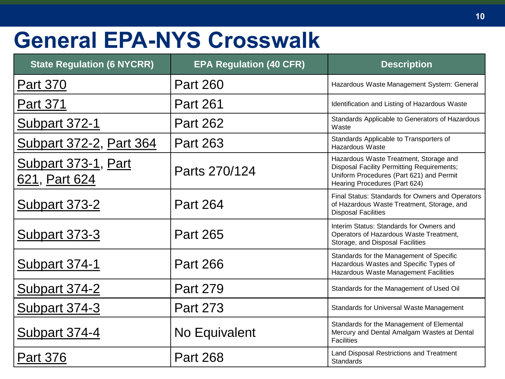### **General EPA-NYS Crosswalk**

| <b>State Regulation (6 NYCRR)</b>    | <b>EPA Regulation (40 CFR)</b> | <b>Description</b>                                                                                                                                                       |
|--------------------------------------|--------------------------------|--------------------------------------------------------------------------------------------------------------------------------------------------------------------------|
| <b>Part 370</b>                      | <b>Part 260</b>                | Hazardous Waste Management System: General                                                                                                                               |
| Part 371                             | <b>Part 261</b>                | Identification and Listing of Hazardous Waste                                                                                                                            |
| <b>Subpart 372-1</b>                 | <b>Part 262</b>                | Standards Applicable to Generators of Hazardous<br>Waste                                                                                                                 |
| <b>Subpart 372-2, Part 364</b>       | Part 263                       | Standards Applicable to Transporters of<br>Hazardous Waste                                                                                                               |
| Subpart 373-1, Part<br>621, Part 624 | Parts 270/124                  | Hazardous Waste Treatment, Storage and<br><b>Disposal Facility Permitting Requirements;</b><br>Uniform Procedures (Part 621) and Permit<br>Hearing Procedures (Part 624) |
| Subpart 373-2                        | <b>Part 264</b>                | Final Status: Standards for Owners and Operators<br>of Hazardous Waste Treatment, Storage, and<br><b>Disposal Facilities</b>                                             |
| <b>Subpart 373-3</b>                 | Part 265                       | Interim Status: Standards for Owners and<br>Operators of Hazardous Waste Treatment,<br>Storage, and Disposal Facilities                                                  |
| Subpart 374-1                        | <b>Part 266</b>                | Standards for the Management of Specific<br>Hazardous Wastes and Specific Types of<br>Hazardous Waste Management Facilities                                              |
| <b>Subpart 374-2</b>                 | Part 279                       | Standards for the Management of Used Oil                                                                                                                                 |
| <b>Subpart 374-3</b>                 | <b>Part 273</b>                | Standards for Universal Waste Management                                                                                                                                 |
| Subpart 374-4                        | No Equivalent                  | Standards for the Management of Elemental<br>Mercury and Dental Amalgam Wastes at Dental<br><b>Facilities</b>                                                            |
| <b>Part 376</b>                      | <b>Part 268</b>                | Land Disposal Restrictions and Treatment<br>Standards                                                                                                                    |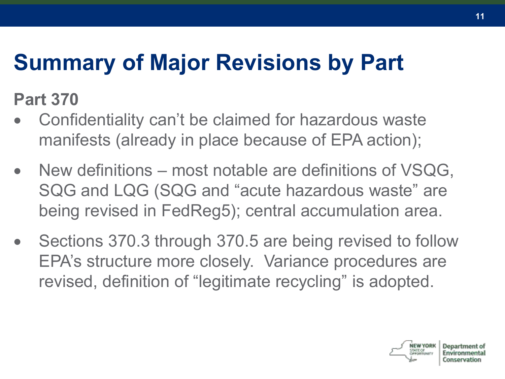### **Summary of Major Revisions by Part**

**Part 370**

- Confidentiality can't be claimed for hazardous waste manifests (already in place because of EPA action);
- New definitions most notable are definitions of VSQG, SQG and LQG (SQG and "acute hazardous waste" are being revised in FedReg5); central accumulation area.
- Sections 370.3 through 370.5 are being revised to follow EPA's structure more closely. Variance procedures are revised, definition of "legitimate recycling" is adopted.

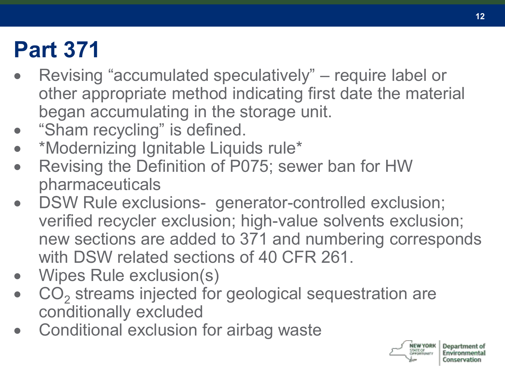### **Part 371**

- Revising "accumulated speculatively" require label or other appropriate method indicating first date the material began accumulating in the storage unit.
- "Sham recycling" is defined.
- \*Modernizing Ignitable Liquids rule\*
- Revising the Definition of P075; sewer ban for HW pharmaceuticals
- DSW Rule exclusions- generator-controlled exclusion; verified recycler exclusion; high-value solvents exclusion; new sections are added to 371 and numbering corresponds with DSW related sections of 40 CFR 261.
- Wipes Rule exclusion(s)
- CO<sub>2</sub> streams injected for geological sequestration are conditionally excluded
- Conditional exclusion for airbag waste

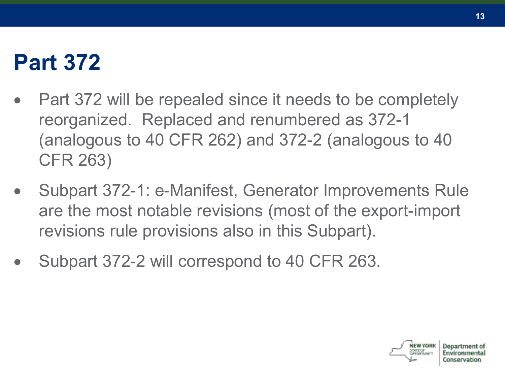### **Part 372**

- Part 372 will be repealed since it needs to be completely reorganized. Replaced and renumbered as 372-1 (analogous to 40 CFR 262) and 372-2 (analogous to 40 CFR 263)
- Subpart 372-1: e-Manifest, Generator Improvements Rule are the most notable revisions (most of the export-import revisions rule provisions also in this Subpart).
- Subpart 372-2 will correspond to 40 CFR 263.

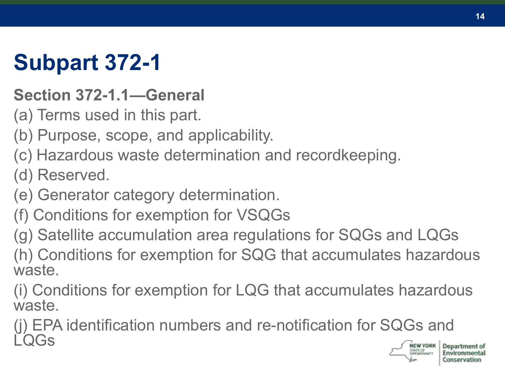### **Subpart 372-1**

#### **Section 372-1.1—General**

- (a) Terms used in this part.
- (b) Purpose, scope, and applicability.
- (c) Hazardous waste determination and recordkeeping.
- (d) Reserved.
- (e) Generator category determination.
- (f) Conditions for exemption for VSQGs
- (g) Satellite accumulation area regulations for SQGs and LQGs
- (h) Conditions for exemption for SQG that accumulates hazardous waste.
- (i) Conditions for exemption for LQG that accumulates hazardous waste.
- (j) EPA identification numbers and re-notification for SQGs and LQGs

**14**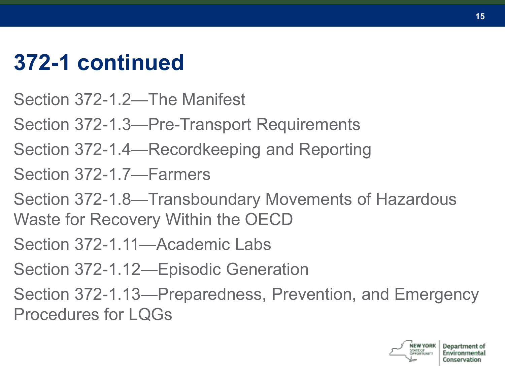### **372-1 continued**

- Section 372-1.2—The Manifest
- Section 372-1.3—Pre-Transport Requirements
- Section 372-1.4—Recordkeeping and Reporting
- Section 372-1.7—Farmers
- Section 372-1.8—Transboundary Movements of Hazardous Waste for Recovery Within the OECD
- Section 372-1.11—Academic Labs
- Section 372-1.12—Episodic Generation
- Section 372-1.13—Preparedness, Prevention, and Emergency Procedures for LQGs

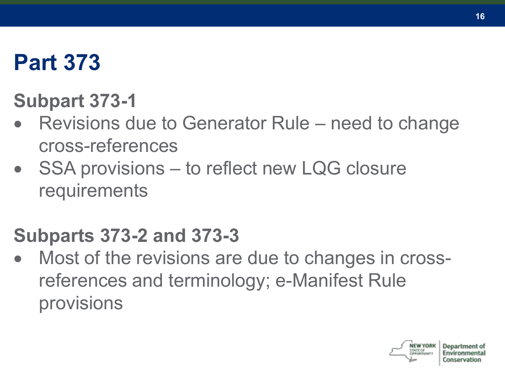### **Part 373**

#### **Subpart 373-1**

- Revisions due to Generator Rule need to change cross-references
- SSA provisions to reflect new LQG closure requirements

#### **Subparts 373-2 and 373-3**

• Most of the revisions are due to changes in crossreferences and terminology; e-Manifest Rule provisions

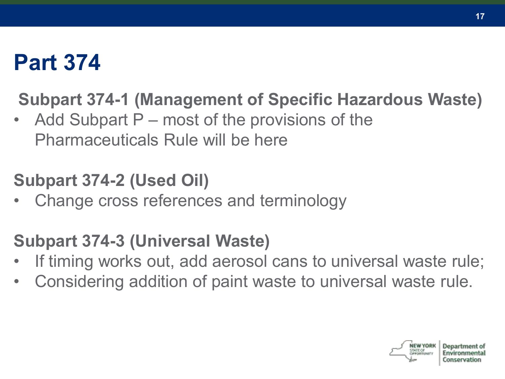### **Part 374**

#### **Subpart 374-1 (Management of Specific Hazardous Waste)**

Add Subpart  $P$  – most of the provisions of the Pharmaceuticals Rule will be here

#### **Subpart 374-2 (Used Oil)**

• Change cross references and terminology

#### **Subpart 374-3 (Universal Waste)**

- If timing works out, add aerosol cans to universal waste rule;
- Considering addition of paint waste to universal waste rule.

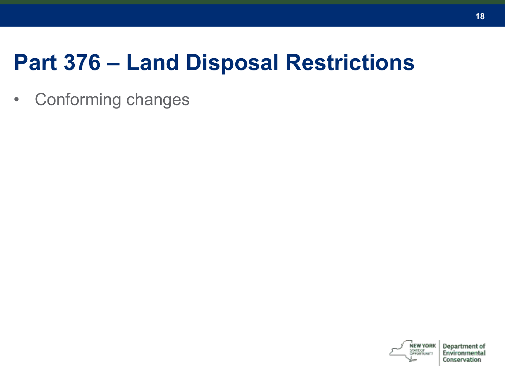### **Part 376 – Land Disposal Restrictions**

• Conforming changes

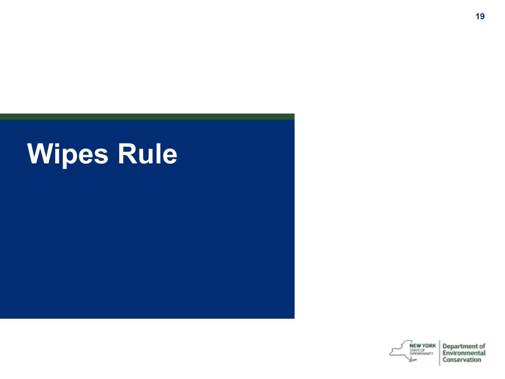# **Wipes Rule**

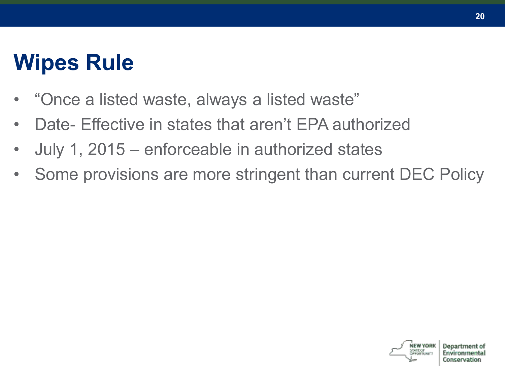### **Wipes Rule**

- "Once a listed waste, always a listed waste"
- Date- Effective in states that aren't EPA authorized
- July 1, 2015 enforceable in authorized states
- Some provisions are more stringent than current DEC Policy

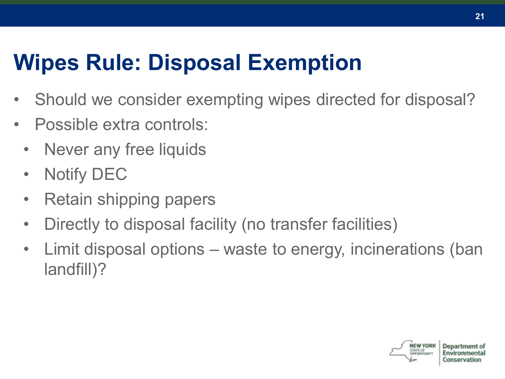### **Wipes Rule: Disposal Exemption**

- Should we consider exempting wipes directed for disposal?
- Possible extra controls:
	- Never any free liquids
	- Notify DEC
	- Retain shipping papers
	- Directly to disposal facility (no transfer facilities)
	- Limit disposal options waste to energy, incinerations (ban landfill)?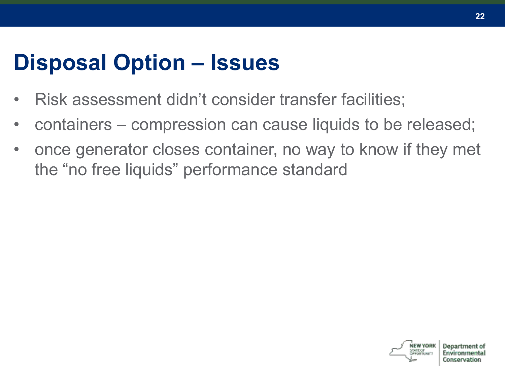### **Disposal Option – Issues**

- Risk assessment didn't consider transfer facilities;
- containers compression can cause liquids to be released;
- once generator closes container, no way to know if they met the "no free liquids" performance standard

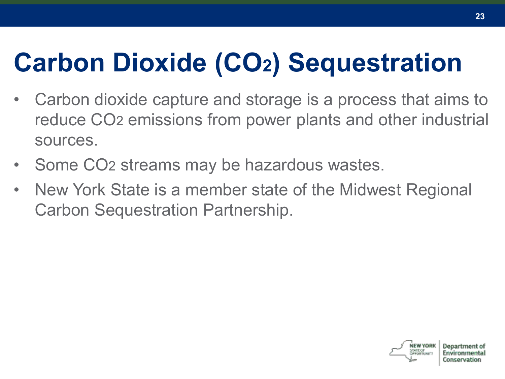## **Carbon Dioxide (CO2) Sequestration**

- Carbon dioxide capture and storage is a process that aims to reduce CO2 emissions from power plants and other industrial sources.
- Some CO2 streams may be hazardous wastes.
- New York State is a member state of the Midwest Regional Carbon Sequestration Partnership.

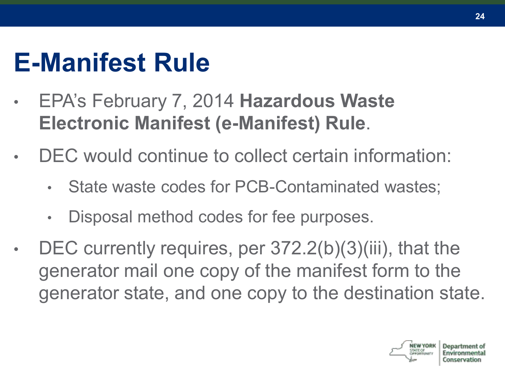### **E-Manifest Rule**

- EPA's February 7, 2014 **Hazardous Waste Electronic Manifest (e-Manifest) Rule**.
- DEC would continue to collect certain information:
	- State waste codes for PCB-Contaminated wastes:
	- Disposal method codes for fee purposes.
- DEC currently requires, per 372.2(b)(3)(iii), that the generator mail one copy of the manifest form to the generator state, and one copy to the destination state.

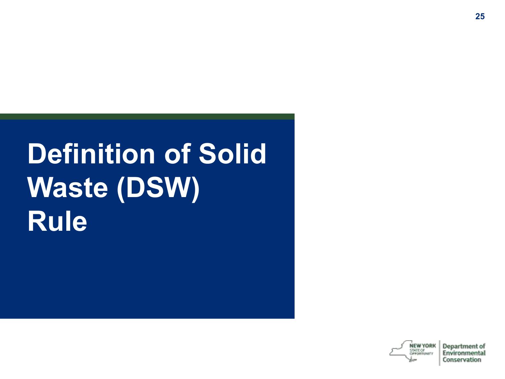# **Definition of Solid Waste (DSW) Rule**

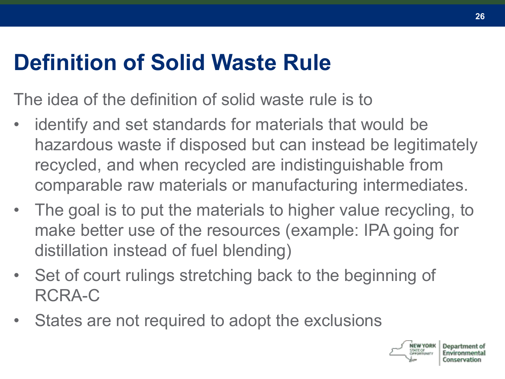### **Definition of Solid Waste Rule**

The idea of the definition of solid waste rule is to

- identify and set standards for materials that would be hazardous waste if disposed but can instead be legitimately recycled, and when recycled are indistinguishable from comparable raw materials or manufacturing intermediates.
- The goal is to put the materials to higher value recycling, to make better use of the resources (example: IPA going for distillation instead of fuel blending)
- Set of court rulings stretching back to the beginning of RCRA-C
- States are not required to adopt the exclusions

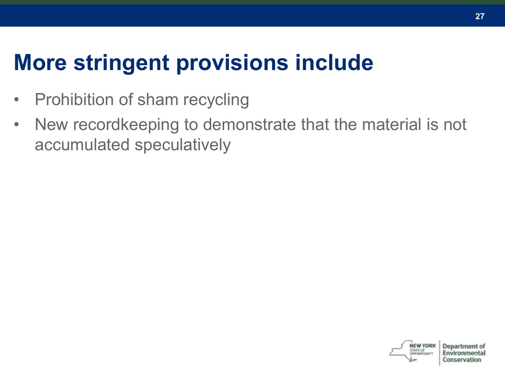### **More stringent provisions include**

- Prohibition of sham recycling
- New recordkeeping to demonstrate that the material is not accumulated speculatively

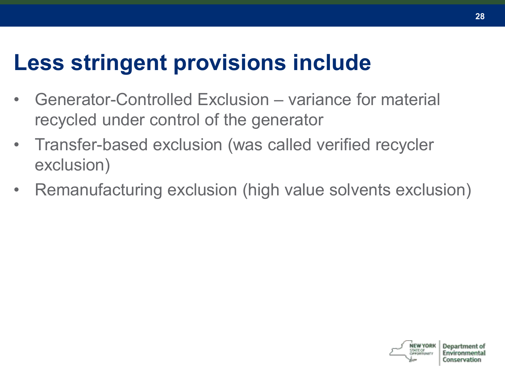### **Less stringent provisions include**

- Generator-Controlled Exclusion variance for material recycled under control of the generator
- Transfer-based exclusion (was called verified recycler exclusion)
- Remanufacturing exclusion (high value solvents exclusion)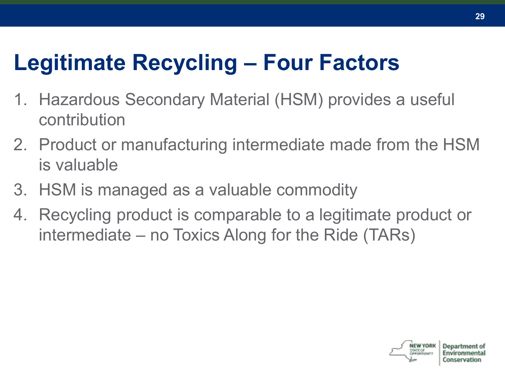### **Legitimate Recycling – Four Factors**

- 1. Hazardous Secondary Material (HSM) provides a useful contribution
- 2. Product or manufacturing intermediate made from the HSM is valuable
- 3. HSM is managed as a valuable commodity
- 4. Recycling product is comparable to a legitimate product or intermediate – no Toxics Along for the Ride (TARs)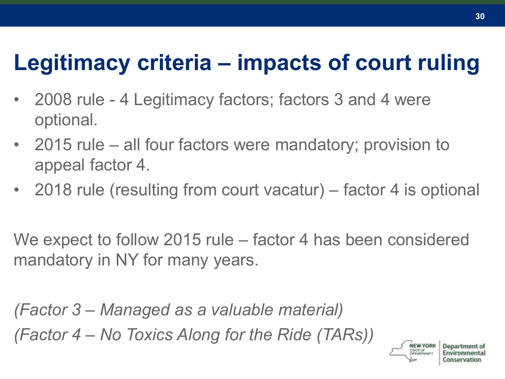### **Legitimacy criteria – impacts of court ruling**

- 2008 rule 4 Legitimacy factors; factors 3 and 4 were optional.
- 2015 rule all four factors were mandatory; provision to appeal factor 4.
- 2018 rule (resulting from court vacatur) factor 4 is optional

We expect to follow 2015 rule – factor 4 has been considered mandatory in NY for many years.

*(Factor 3 – Managed as a valuable material) (Factor 4 – No Toxics Along for the Ride (TARs))*

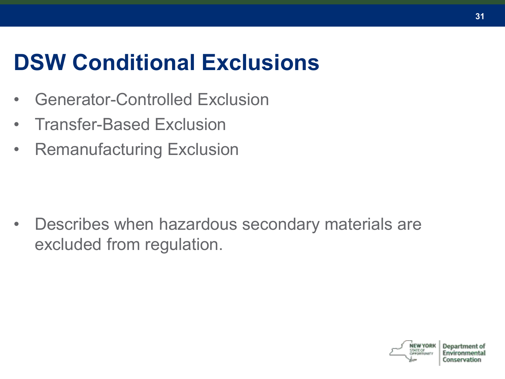### **DSW Conditional Exclusions**

- Generator-Controlled Exclusion
- Transfer-Based Exclusion
- Remanufacturing Exclusion

• Describes when hazardous secondary materials are excluded from regulation.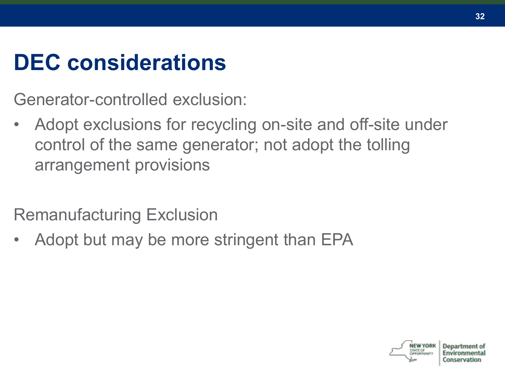### **DEC considerations**

Generator-controlled exclusion:

• Adopt exclusions for recycling on-site and off-site under control of the same generator; not adopt the tolling arrangement provisions

Remanufacturing Exclusion

• Adopt but may be more stringent than EPA

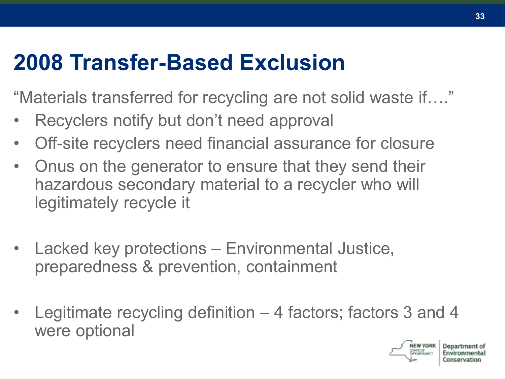### **2008 Transfer-Based Exclusion**

"Materials transferred for recycling are not solid waste if…."

- Recyclers notify but don't need approval
- Off-site recyclers need financial assurance for closure
- Onus on the generator to ensure that they send their hazardous secondary material to a recycler who will legitimately recycle it
- Lacked key protections Environmental Justice, preparedness & prevention, containment
- Legitimate recycling definition 4 factors; factors 3 and 4 were optional

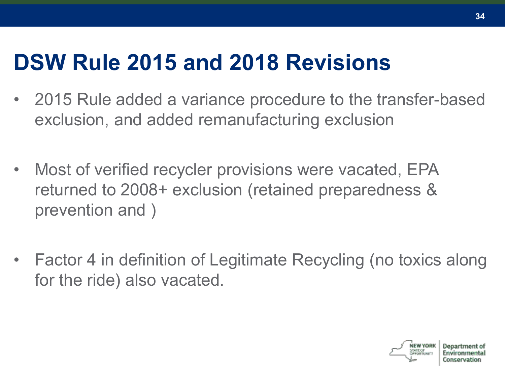### **DSW Rule 2015 and 2018 Revisions**

- 2015 Rule added a variance procedure to the transfer-based exclusion, and added remanufacturing exclusion
- Most of verified recycler provisions were vacated, EPA returned to 2008+ exclusion (retained preparedness & prevention and )
- Factor 4 in definition of Legitimate Recycling (no toxics along for the ride) also vacated.

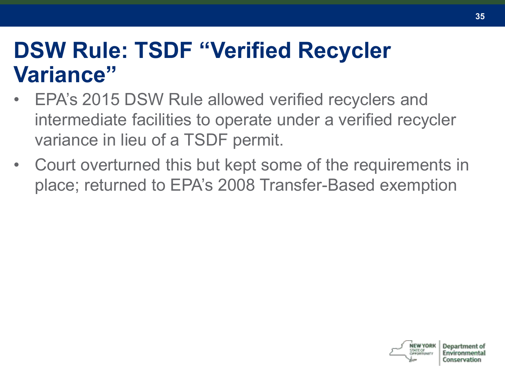### **DSW Rule: TSDF "Verified Recycler Variance"**

- EPA's 2015 DSW Rule allowed verified recyclers and intermediate facilities to operate under a verified recycler variance in lieu of a TSDF permit.
- Court overturned this but kept some of the requirements in place; returned to EPA's 2008 Transfer-Based exemption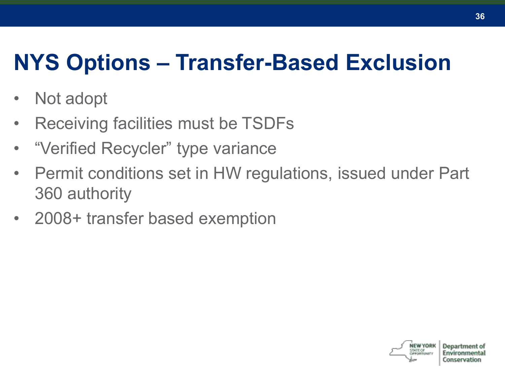### **NYS Options – Transfer-Based Exclusion**

- Not adopt
- Receiving facilities must be TSDFs
- "Verified Recycler" type variance
- Permit conditions set in HW regulations, issued under Part 360 authority
- 2008+ transfer based exemption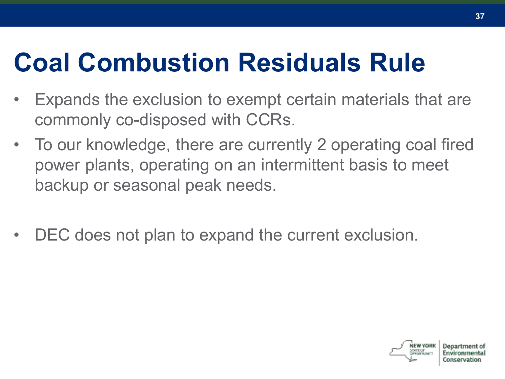# **Coal Combustion Residuals Rule**

- Expands the exclusion to exempt certain materials that are commonly co-disposed with CCRs.
- To our knowledge, there are currently 2 operating coal fired power plants, operating on an intermittent basis to meet backup or seasonal peak needs.
- DEC does not plan to expand the current exclusion.

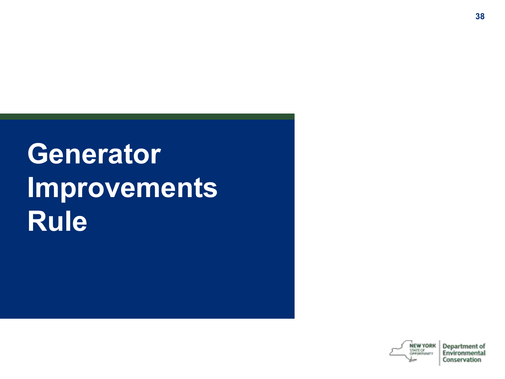# **Generator Improvements Rule**

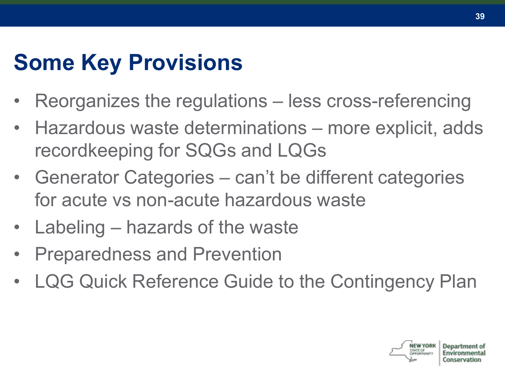# **Some Key Provisions**

- Reorganizes the regulations less cross-referencing
- Hazardous waste determinations more explicit, adds recordkeeping for SQGs and LQGs
- Generator Categories can't be different categories for acute vs non-acute hazardous waste
- Labeling hazards of the waste
- Preparedness and Prevention
- LQG Quick Reference Guide to the Contingency Plan

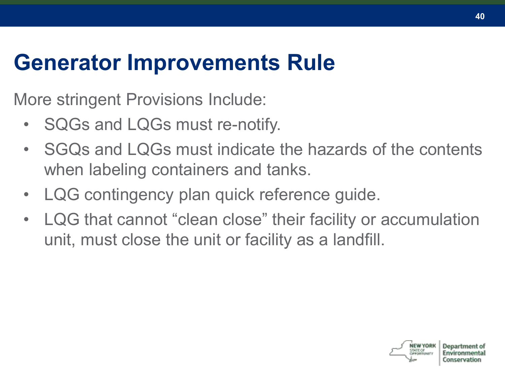### **Generator Improvements Rule**

More stringent Provisions Include:

- SQGs and LQGs must re-notify.
- SGQs and LQGs must indicate the hazards of the contents when labeling containers and tanks.
- LQG contingency plan quick reference guide.
- LQG that cannot "clean close" their facility or accumulation unit, must close the unit or facility as a landfill.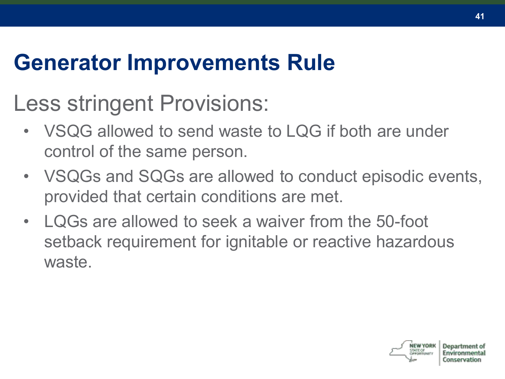### **Generator Improvements Rule**

## Less stringent Provisions:

- VSQG allowed to send waste to LQG if both are under control of the same person.
- VSQGs and SQGs are allowed to conduct episodic events, provided that certain conditions are met.
- LQGs are allowed to seek a waiver from the 50-foot setback requirement for ignitable or reactive hazardous waste.

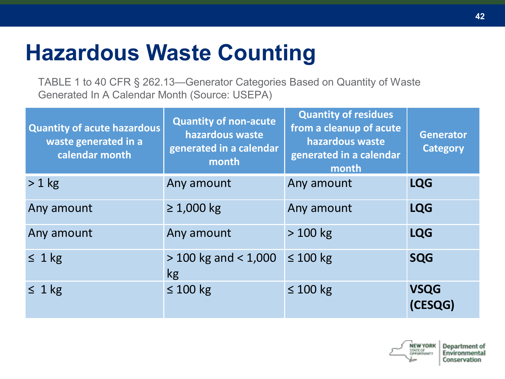## **Hazardous Waste Counting**

TABLE 1 to 40 CFR § 262.13—Generator Categories Based on Quantity of Waste Generated In A Calendar Month (Source: USEPA)

| <b>Quantity of acute hazardous</b><br>waste generated in a<br>calendar month | <b>Quantity of non-acute</b><br>hazardous waste<br>generated in a calendar<br>month | <b>Quantity of residues</b><br>from a cleanup of acute<br>hazardous waste<br>generated in a calendar<br>month | <b>Generator</b><br><b>Category</b> |
|------------------------------------------------------------------------------|-------------------------------------------------------------------------------------|---------------------------------------------------------------------------------------------------------------|-------------------------------------|
| $> 1$ kg                                                                     | Any amount                                                                          | Any amount                                                                                                    | <b>LQG</b>                          |
| Any amount                                                                   | $\geq 1,000$ kg                                                                     | Any amount                                                                                                    | <b>LQG</b>                          |
| Any amount                                                                   | Any amount                                                                          | $>100$ kg                                                                                                     | <b>LQG</b>                          |
| $\leq 1$ kg                                                                  | $>$ 100 kg and $<$ 1,000<br>kg                                                      | $\leq 100$ kg                                                                                                 | <b>SQG</b>                          |
| $\leq 1$ kg                                                                  | $\leq 100$ kg                                                                       | $\leq 100$ kg                                                                                                 | <b>VSQG</b><br>(CESQG)              |



Department of

Environmental

Conservation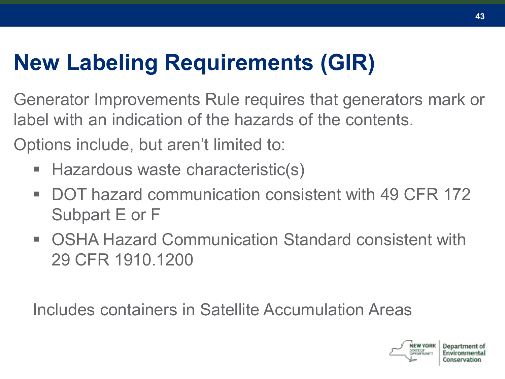# **New Labeling Requirements (GIR)**

Generator Improvements Rule requires that generators mark or label with an indication of the hazards of the contents.

Options include, but aren't limited to:

- Hazardous waste characteristic(s)
- DOT hazard communication consistent with 49 CFR 172 Subpart E or F
- OSHA Hazard Communication Standard consistent with 29 CFR 1910.1200

Includes containers in Satellite Accumulation Areas

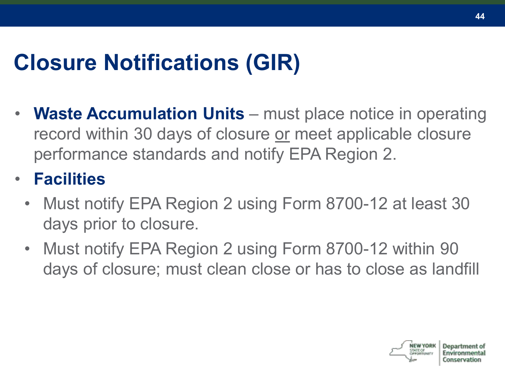# **Closure Notifications (GIR)**

**Waste Accumulation Units** – must place notice in operating record within 30 days of closure or meet applicable closure performance standards and notify EPA Region 2.

#### • **Facilities**

- Must notify EPA Region 2 using Form 8700-12 at least 30 days prior to closure.
- Must notify EPA Region 2 using Form 8700-12 within 90 days of closure; must clean close or has to close as landfill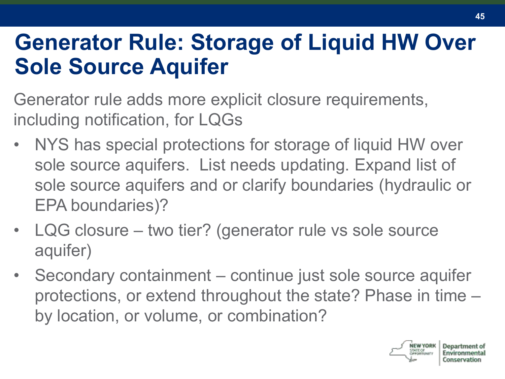#### **Generator Rule: Storage of Liquid HW Over Sole Source Aquifer**

Generator rule adds more explicit closure requirements, including notification, for LQGs

- NYS has special protections for storage of liquid HW over sole source aquifers. List needs updating. Expand list of sole source aquifers and or clarify boundaries (hydraulic or EPA boundaries)?
- LQG closure two tier? (generator rule vs sole source aquifer)
- Secondary containment continue just sole source aquifer protections, or extend throughout the state? Phase in time – by location, or volume, or combination?

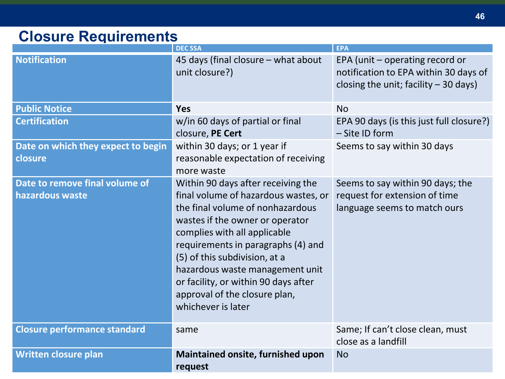#### **Closure Requirements**

|                                                   | <b>DEC SSA</b>                                                                                                                                                                                                                                                                                                                                                                             | <b>EPA</b>                                                                                                         |
|---------------------------------------------------|--------------------------------------------------------------------------------------------------------------------------------------------------------------------------------------------------------------------------------------------------------------------------------------------------------------------------------------------------------------------------------------------|--------------------------------------------------------------------------------------------------------------------|
| <b>Notification</b>                               | 45 days (final closure - what about<br>unit closure?)                                                                                                                                                                                                                                                                                                                                      | EPA (unit - operating record or<br>notification to EPA within 30 days of<br>closing the unit; facility $-30$ days) |
| <b>Public Notice</b>                              | Yes                                                                                                                                                                                                                                                                                                                                                                                        | <b>No</b>                                                                                                          |
| <b>Certification</b>                              | w/in 60 days of partial or final<br>closure, PE Cert                                                                                                                                                                                                                                                                                                                                       | EPA 90 days (is this just full closure?)<br>- Site ID form                                                         |
| Date on which they expect to begin<br>closure     | within 30 days; or 1 year if<br>reasonable expectation of receiving<br>more waste                                                                                                                                                                                                                                                                                                          | Seems to say within 30 days                                                                                        |
| Date to remove final volume of<br>hazardous waste | Within 90 days after receiving the<br>final volume of hazardous wastes, or<br>the final volume of nonhazardous<br>wastes if the owner or operator<br>complies with all applicable<br>requirements in paragraphs (4) and<br>(5) of this subdivision, at a<br>hazardous waste management unit<br>or facility, or within 90 days after<br>approval of the closure plan,<br>whichever is later | Seems to say within 90 days; the<br>request for extension of time<br>language seems to match ours                  |
| <b>Closure performance standard</b>               | same                                                                                                                                                                                                                                                                                                                                                                                       | Same; If can't close clean, must<br>close as a landfill                                                            |
| <b>Written closure plan</b>                       | Maintained onsite, furnished upon<br>request                                                                                                                                                                                                                                                                                                                                               | <b>No</b>                                                                                                          |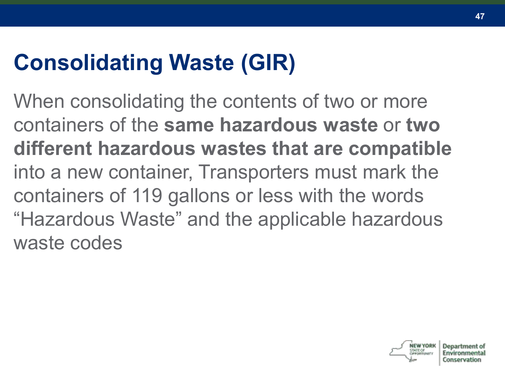# **Consolidating Waste (GIR)**

When consolidating the contents of two or more containers of the **same hazardous waste** or **two different hazardous wastes that are compatible**  into a new container, Transporters must mark the containers of 119 gallons or less with the words "Hazardous Waste" and the applicable hazardous waste codes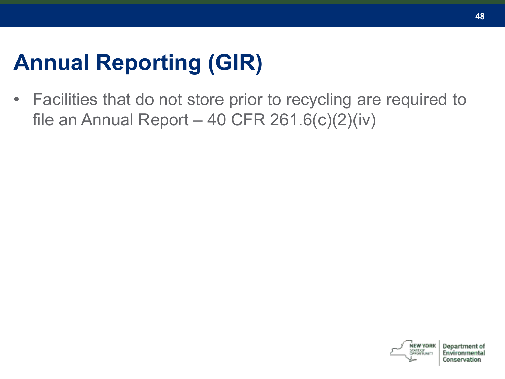# **Annual Reporting (GIR)**

• Facilities that do not store prior to recycling are required to file an Annual Report – 40 CFR  $261.6(c)(2)(iv)$ 



Conservation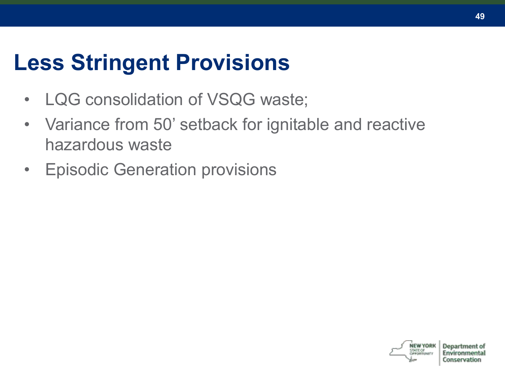### **Less Stringent Provisions**

- LQG consolidation of VSQG waste;
- Variance from 50' setback for ignitable and reactive hazardous waste
- Episodic Generation provisions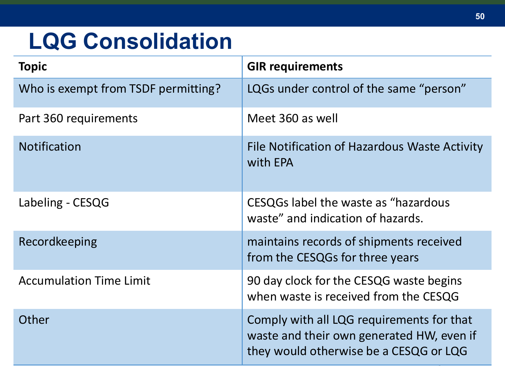### **LQG Consolidation**

| <b>Topic</b>                        | <b>GIR requirements</b>                                                                                                          |
|-------------------------------------|----------------------------------------------------------------------------------------------------------------------------------|
| Who is exempt from TSDF permitting? | LQGs under control of the same "person"                                                                                          |
| Part 360 requirements               | Meet 360 as well                                                                                                                 |
| <b>Notification</b>                 | File Notification of Hazardous Waste Activity<br>with EPA                                                                        |
| Labeling - CESQG                    | CESQGs label the waste as "hazardous<br>waste" and indication of hazards.                                                        |
| Recordkeeping                       | maintains records of shipments received<br>from the CESQGs for three years                                                       |
| <b>Accumulation Time Limit</b>      | 90 day clock for the CESQG waste begins<br>when waste is received from the CESQG                                                 |
| Other                               | Comply with all LQG requirements for that<br>waste and their own generated HW, even if<br>they would otherwise be a CESQG or LQG |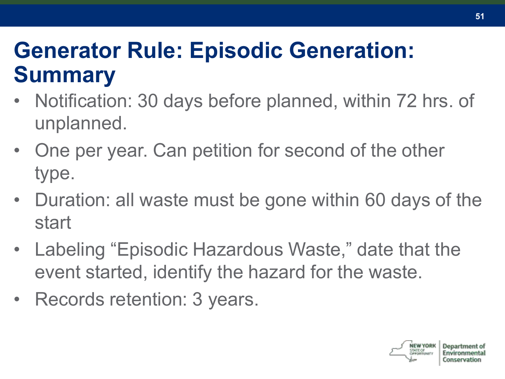### **Generator Rule: Episodic Generation: Summary**

- Notification: 30 days before planned, within 72 hrs. of unplanned.
- One per year. Can petition for second of the other type.
- Duration: all waste must be gone within 60 days of the start
- Labeling "Episodic Hazardous Waste," date that the event started, identify the hazard for the waste.
- Records retention: 3 years.

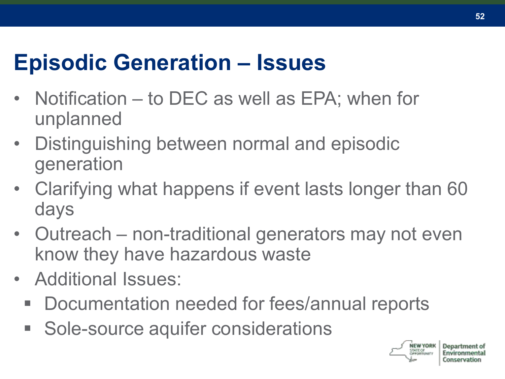### **Episodic Generation – Issues**

- Notification to DEC as well as EPA; when for unplanned
- Distinguishing between normal and episodic generation
- Clarifying what happens if event lasts longer than 60 days
- Outreach non-traditional generators may not even know they have hazardous waste
- Additional Issues:
	- Documentation needed for fees/annual reports
	- Sole-source aquifer considerations

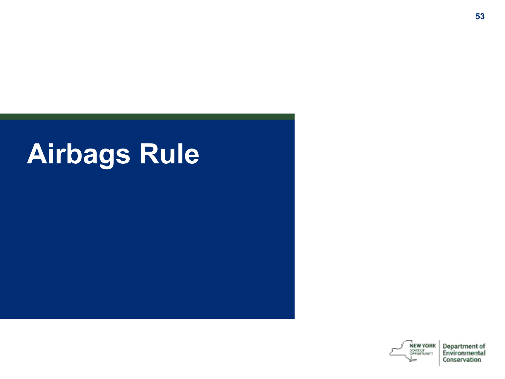# **Airbags Rule**

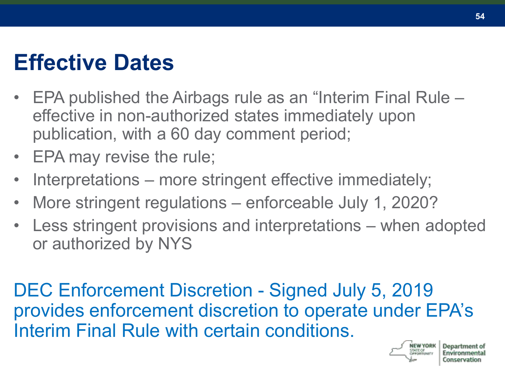#### **Effective Dates**

- EPA published the Airbags rule as an "Interim Final Rule effective in non-authorized states immediately upon publication, with a 60 day comment period;
- EPA may revise the rule;
- Interpretations more stringent effective immediately;
- More stringent regulations enforceable July 1, 2020?
- Less stringent provisions and interpretations when adopted or authorized by NYS

DEC Enforcement Discretion - Signed July 5, 2019 provides enforcement discretion to operate under EPA's Interim Final Rule with certain conditions.



**54**

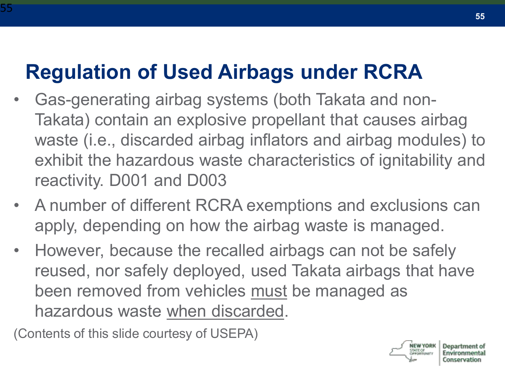#### **Regulation of Used Airbags under RCRA**

- Gas-generating airbag systems (both Takata and non-Takata) contain an explosive propellant that causes airbag waste (i.e., discarded airbag inflators and airbag modules) to exhibit the hazardous waste characteristics of ignitability and reactivity. D001 and D003
- A number of different RCRA exemptions and exclusions can apply, depending on how the airbag waste is managed.
- However, because the recalled airbags can not be safely reused, nor safely deployed, used Takata airbags that have been removed from vehicles must be managed as hazardous waste when discarded.

(Contents of this slide courtesy of USEPA)

55

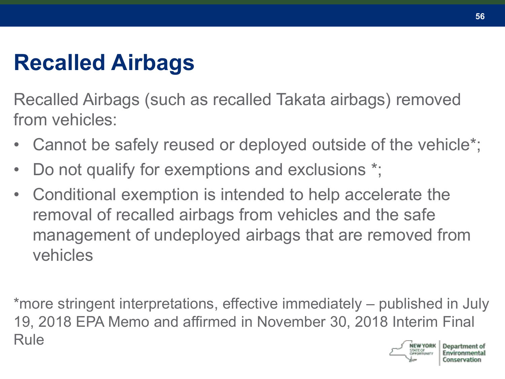# **Recalled Airbags**

Recalled Airbags (such as recalled Takata airbags) removed from vehicles:

- Cannot be safely reused or deployed outside of the vehicle<sup>\*</sup>;
- Do not qualify for exemptions and exclusions \*;
- Conditional exemption is intended to help accelerate the removal of recalled airbags from vehicles and the safe management of undeployed airbags that are removed from vehicles

\*more stringent interpretations, effective immediately – published in July 19, 2018 EPA Memo and affirmed in November 30, 2018 Interim Final RuleDeparts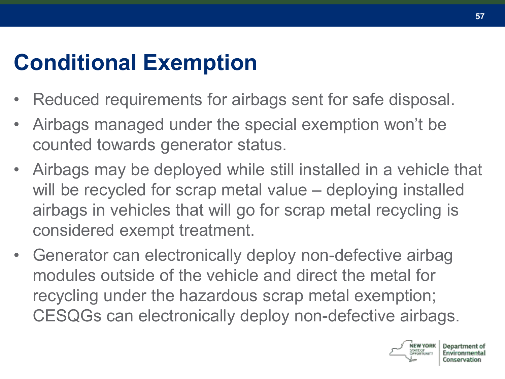# **Conditional Exemption**

- Reduced requirements for airbags sent for safe disposal.
- Airbags managed under the special exemption won't be counted towards generator status.
- Airbags may be deployed while still installed in a vehicle that will be recycled for scrap metal value – deploying installed airbags in vehicles that will go for scrap metal recycling is considered exempt treatment.
- Generator can electronically deploy non-defective airbag modules outside of the vehicle and direct the metal for recycling under the hazardous scrap metal exemption; CESQGs can electronically deploy non-defective airbags.

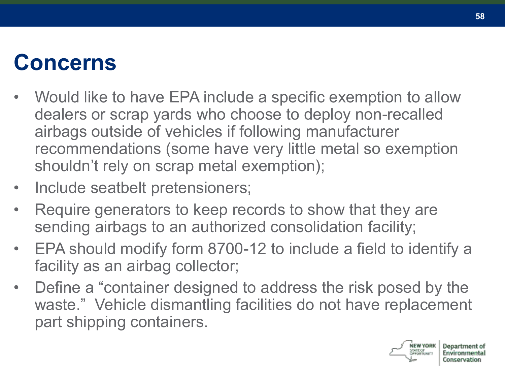## **Concerns**

- Would like to have EPA include a specific exemption to allow dealers or scrap yards who choose to deploy non-recalled airbags outside of vehicles if following manufacturer recommendations (some have very little metal so exemption shouldn't rely on scrap metal exemption);
- Include seatbelt pretensioners;
- Require generators to keep records to show that they are sending airbags to an authorized consolidation facility;
- EPA should modify form 8700-12 to include a field to identify a facility as an airbag collector;
- Define a "container designed to address the risk posed by the waste." Vehicle dismantling facilities do not have replacement part shipping containers.

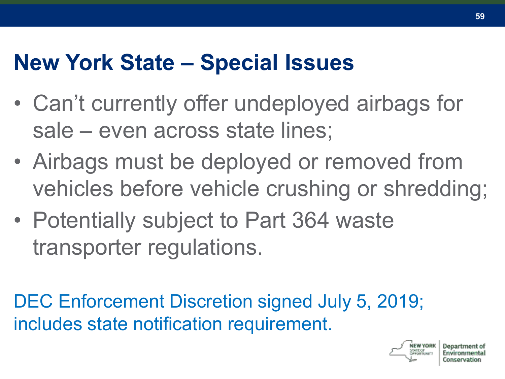#### **New York State – Special Issues**

- Can't currently offer undeployed airbags for sale – even across state lines;
- Airbags must be deployed or removed from vehicles before vehicle crushing or shredding;
- Potentially subject to Part 364 waste transporter regulations.

DEC Enforcement Discretion signed July 5, 2019; includes state notification requirement.

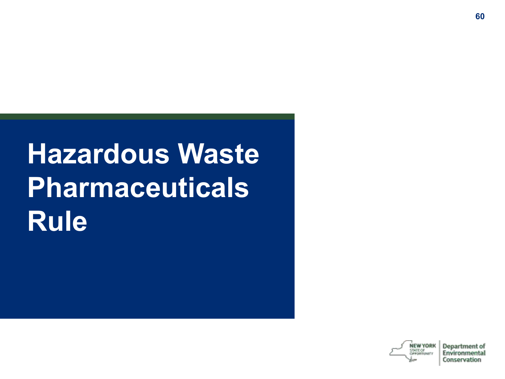# **Hazardous Waste Pharmaceuticals Rule**

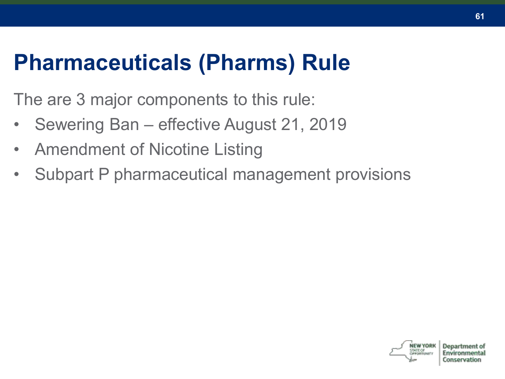#### **Pharmaceuticals (Pharms) Rule**

The are 3 major components to this rule:

- Sewering Ban effective August 21, 2019
- Amendment of Nicotine Listing
- Subpart P pharmaceutical management provisions

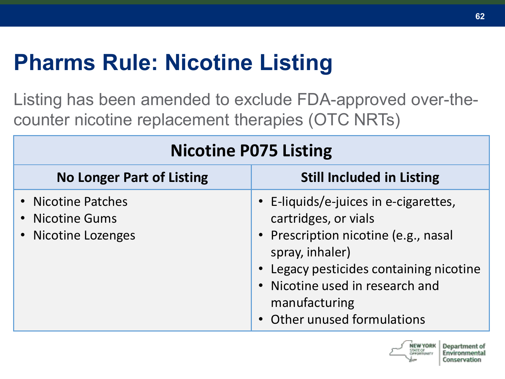# **Pharms Rule: Nicotine Listing**

Listing has been amended to exclude FDA-approved over-thecounter nicotine replacement therapies (OTC NRTs)

| <b>Nicotine P075 Listing</b>                                 |                                                                                                                                                                                                                                                      |  |  |
|--------------------------------------------------------------|------------------------------------------------------------------------------------------------------------------------------------------------------------------------------------------------------------------------------------------------------|--|--|
| <b>No Longer Part of Listing</b>                             | <b>Still Included in Listing</b>                                                                                                                                                                                                                     |  |  |
| • Nicotine Patches<br>• Nicotine Gums<br>• Nicotine Lozenges | • E-liquids/e-juices in e-cigarettes,<br>cartridges, or vials<br>• Prescription nicotine (e.g., nasal<br>spray, inhaler)<br>• Legacy pesticides containing nicotine<br>• Nicotine used in research and<br>manufacturing<br>Other unused formulations |  |  |

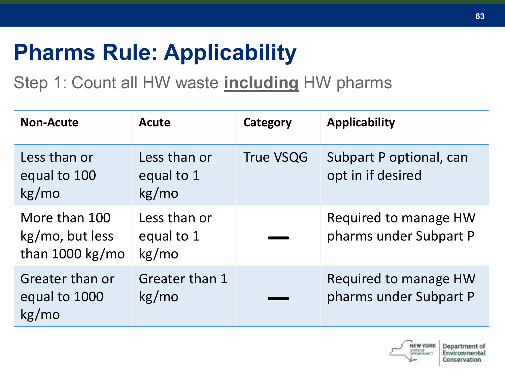# **Pharms Rule: Applicability**

Step 1: Count all HW waste **including** HW pharms

| <b>Non-Acute</b>                                      | <b>Acute</b>                        | Category         | <b>Applicability</b>                            |
|-------------------------------------------------------|-------------------------------------|------------------|-------------------------------------------------|
| Less than or<br>equal to 100<br>kg/mo                 | Less than or<br>equal to 1<br>kg/mo | <b>True VSQG</b> | Subpart P optional, can<br>opt in if desired    |
| More than 100<br>kg/mo, but less<br>than $1000$ kg/mo | Less than or<br>equal to 1<br>kg/mo |                  | Required to manage HW<br>pharms under Subpart P |
| Greater than or<br>equal to 1000<br>kg/mo             | Greater than 1<br>kg/mo             |                  | Required to manage HW<br>pharms under Subpart P |

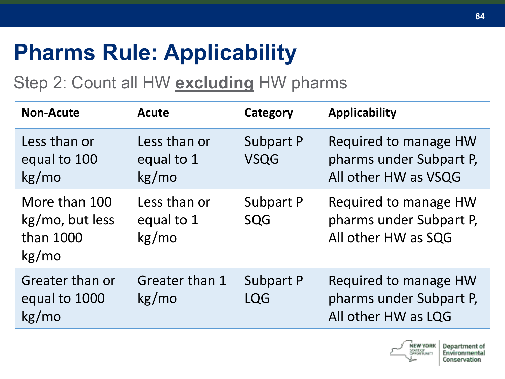# **Pharms Rule: Applicability**

Step 2: Count all HW **excluding** HW pharms

| <b>Non-Acute</b>                                       | <b>Acute</b>                         | Category                        | <b>Applicability</b>                                                     |
|--------------------------------------------------------|--------------------------------------|---------------------------------|--------------------------------------------------------------------------|
| Less than or<br>equal to 100<br>kg/mo                  | Less than or<br>equal to 1<br>kg/mol | <b>Subpart P</b><br><b>VSQG</b> | Required to manage HW<br>pharms under Subpart P,<br>All other HW as VSQG |
| More than 100<br>kg/mo, but less<br>than 1000<br>kg/mo | Less than or<br>equal to 1<br>kg/mol | <b>Subpart P</b><br>SQG         | Required to manage HW<br>pharms under Subpart P,<br>All other HW as SQG  |
| Greater than or<br>equal to 1000<br>kg/mo              | Greater than 1<br>kg/mol             | <b>Subpart P</b><br><b>LQG</b>  | Required to manage HW<br>pharms under Subpart P,<br>All other HW as LQG  |

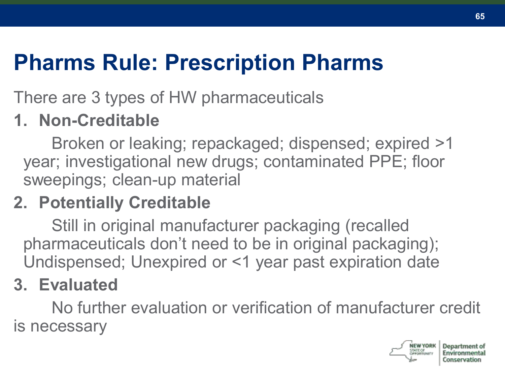# **Pharms Rule: Prescription Pharms**

There are 3 types of HW pharmaceuticals

#### **1. Non-Creditable**

Broken or leaking; repackaged; dispensed; expired >1 year; investigational new drugs; contaminated PPE; floor sweepings; clean-up material

#### **2. Potentially Creditable**

Still in original manufacturer packaging (recalled pharmaceuticals don't need to be in original packaging); Undispensed; Unexpired or <1 year past expiration date

#### **3. Evaluated**

No further evaluation or verification of manufacturer credit is necessary



**65**

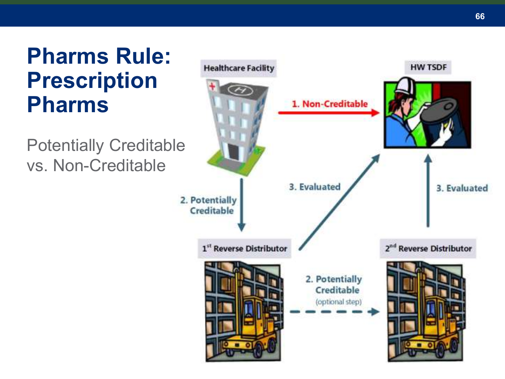#### **Pharms Rule: Prescription Pharms**

Potentially Creditable vs. Non -Creditable

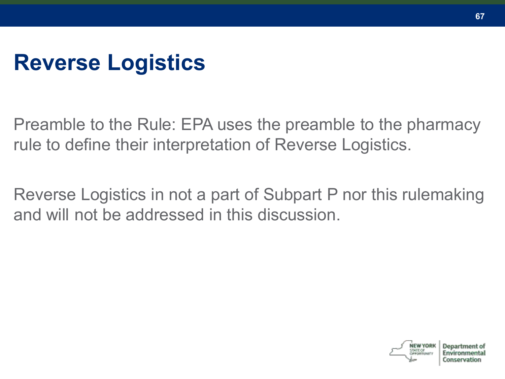## **Reverse Logistics**

Preamble to the Rule: EPA uses the preamble to the pharmacy rule to define their interpretation of Reverse Logistics.

Reverse Logistics in not a part of Subpart P nor this rulemaking and will not be addressed in this discussion.

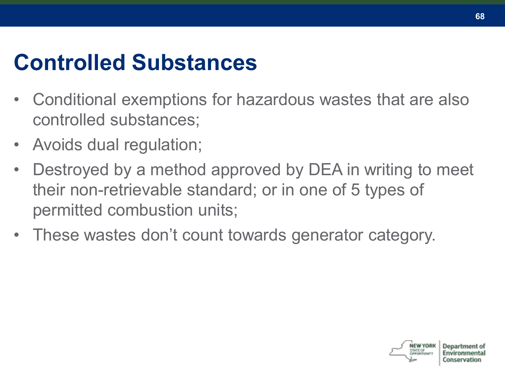### **Controlled Substances**

- Conditional exemptions for hazardous wastes that are also controlled substances;
- Avoids dual regulation;
- Destroyed by a method approved by DEA in writing to meet their non-retrievable standard; or in one of 5 types of permitted combustion units;
- These wastes don't count towards generator category.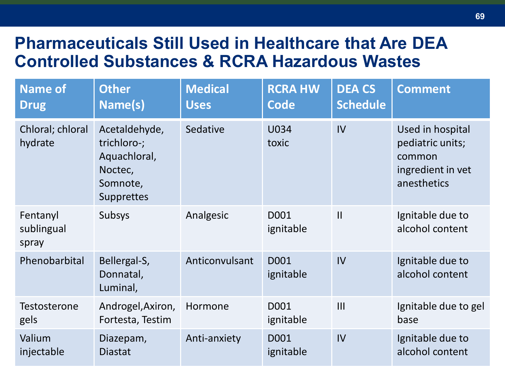#### **Pharmaceuticals Still Used in Healthcare that Are DEA Controlled Substances & RCRA Hazardous Wastes**

| <b>Name of</b><br><b>Drug</b>   | <b>Other</b><br>Name(s)                                                           | <b>Medical</b><br><b>Uses</b> | <b>RCRA HW</b><br><b>Code</b> | <b>DEA CS</b><br><b>Schedule</b> | <b>Comment</b>                                                                     |
|---------------------------------|-----------------------------------------------------------------------------------|-------------------------------|-------------------------------|----------------------------------|------------------------------------------------------------------------------------|
| Chloral; chloral<br>hydrate     | Acetaldehyde,<br>trichloro-;<br>Aquachloral,<br>Noctec,<br>Somnote,<br>Supprettes | Sedative                      | U034<br>toxic                 | IV                               | Used in hospital<br>pediatric units;<br>common<br>ingredient in vet<br>anesthetics |
| Fentanyl<br>sublingual<br>spray | Subsys                                                                            | Analgesic                     | D001<br>ignitable             | $\mathbf{II}$                    | Ignitable due to<br>alcohol content                                                |
| Phenobarbital                   | Bellergal-S,<br>Donnatal,<br>Luminal,                                             | Anticonvulsant                | D001<br>ignitable             | IV                               | Ignitable due to<br>alcohol content                                                |
| Testosterone<br>gels            | Androgel, Axiron,<br>Fortesta, Testim                                             | Hormone                       | D001<br>ignitable             | III                              | Ignitable due to gel<br>base                                                       |
| Valium<br>injectable            | Diazepam,<br>Diastat                                                              | Anti-anxiety                  | D001<br>ignitable             | IV                               | Ignitable due to<br>alcohol content                                                |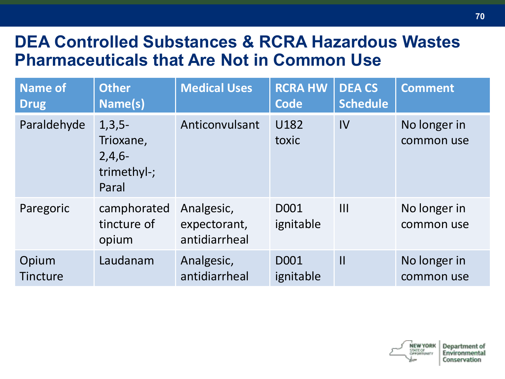#### **DEA Controlled Substances & RCRA Hazardous Wastes Pharmaceuticals that Are Not in Common Use**

| <b>Name of</b><br><b>Drug</b> | <b>Other</b><br>Name(s)                                   | <b>Medical Uses</b>                         | <b>RCRA HW</b><br><b>Code</b> | <b>DEA CS</b><br><b>Schedule</b> | <b>Comment</b>             |
|-------------------------------|-----------------------------------------------------------|---------------------------------------------|-------------------------------|----------------------------------|----------------------------|
| Paraldehyde                   | $1,3,5-$<br>Trioxane,<br>$2,4,6-$<br>trimethyl-;<br>Paral | Anticonvulsant                              | U182<br>toxic                 | IV                               | No longer in<br>common use |
| Paregoric                     | camphorated<br>tincture of<br>opium                       | Analgesic,<br>expectorant,<br>antidiarrheal | D001<br>ignitable             | III                              | No longer in<br>common use |
| Opium<br><b>Tincture</b>      | Laudanam                                                  | Analgesic,<br>antidiarrheal                 | D001<br>ignitable             | $\mathbf{I}$                     | No longer in<br>common use |



Department of Environmenta Conservation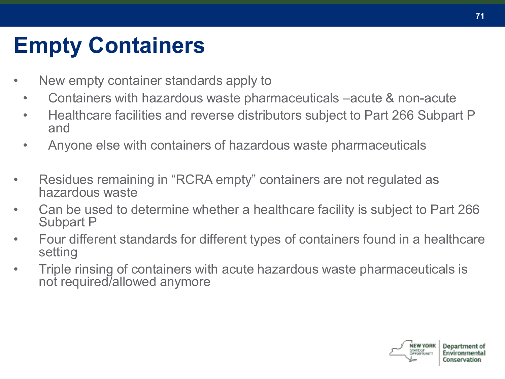# **Empty Containers**

- New empty container standards apply to
	- Containers with hazardous waste pharmaceuticals –acute & non-acute
	- Healthcare facilities and reverse distributors subject to Part 266 Subpart P and
	- Anyone else with containers of hazardous waste pharmaceuticals
- Residues remaining in "RCRA empty" containers are not regulated as hazardous waste
- Can be used to determine whether a healthcare facility is subject to Part 266 Subpart P
- Four different standards for different types of containers found in a healthcare setting
- Triple rinsing of containers with acute hazardous waste pharmaceuticals is not required/allowed anymore



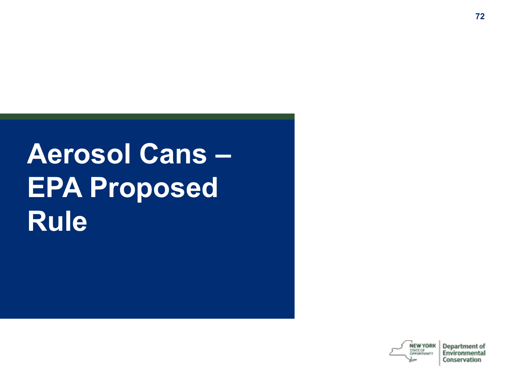# **Aerosol Cans – EPA Proposed Rule**

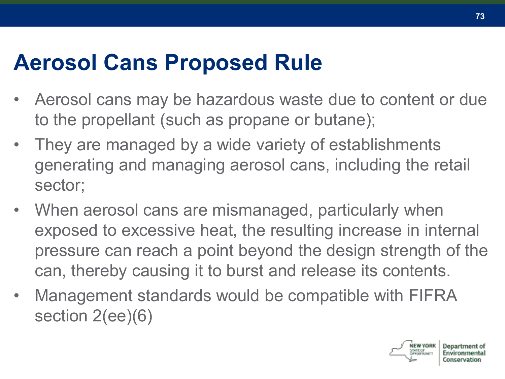#### **Aerosol Cans Proposed Rule**

- Aerosol cans may be hazardous waste due to content or due to the propellant (such as propane or butane);
- They are managed by a wide variety of establishments generating and managing aerosol cans, including the retail sector;
- When aerosol cans are mismanaged, particularly when exposed to excessive heat, the resulting increase in internal pressure can reach a point beyond the design strength of the can, thereby causing it to burst and release its contents.
- Management standards would be compatible with FIFRA section 2(ee)(6)

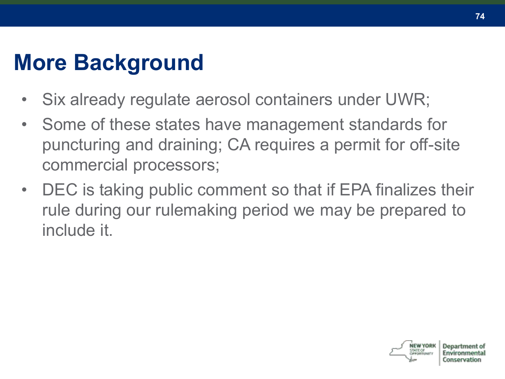### **More Background**

- Six already regulate aerosol containers under UWR;
- Some of these states have management standards for puncturing and draining; CA requires a permit for off-site commercial processors;
- DEC is taking public comment so that if EPA finalizes their rule during our rulemaking period we may be prepared to include it.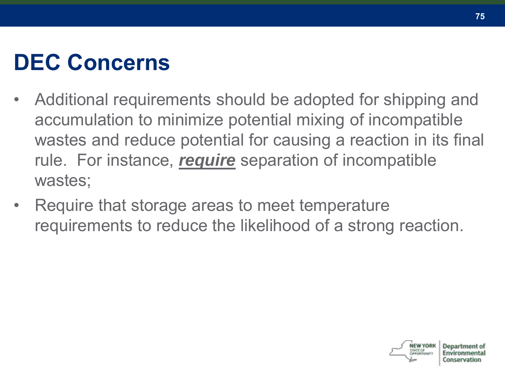# **DEC Concerns**

- Additional requirements should be adopted for shipping and accumulation to minimize potential mixing of incompatible wastes and reduce potential for causing a reaction in its final rule. For instance, *require* separation of incompatible wastes;
- Require that storage areas to meet temperature requirements to reduce the likelihood of a strong reaction.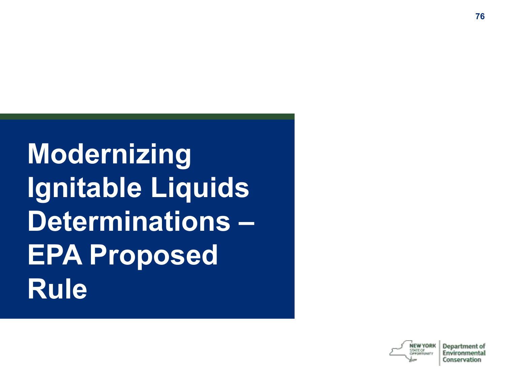**Modernizing Ignitable Liquids Determinations – EPA Proposed Rule**

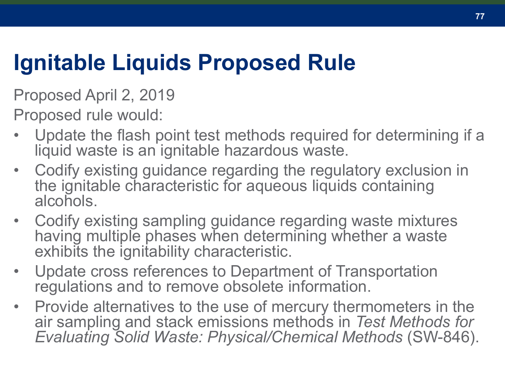### **Ignitable Liquids Proposed Rule**

Proposed April 2, 2019

Proposed rule would:

- Update the flash point test methods required for determining if a liquid waste is an ignitable hazardous waste.
- Codify existing guidance regarding the regulatory exclusion in the ignitable characteristic for aqueous liquids containing alcohols.
- Codify existing sampling guidance regarding waste mixtures having multiple phases when determining whether a waste exhibits the ignitability characteristic.
- Update cross references to Department of Transportation regulations and to remove obsolete information.
- Provide alternatives to the use of mercury thermometers in the air sampling and stack emissions methods in *Test Methods for Evaluating Solid Waste: Physical/Chemical Methods* (SW-846).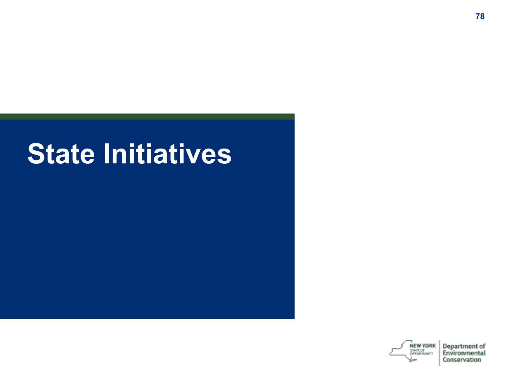# **State Initiatives**

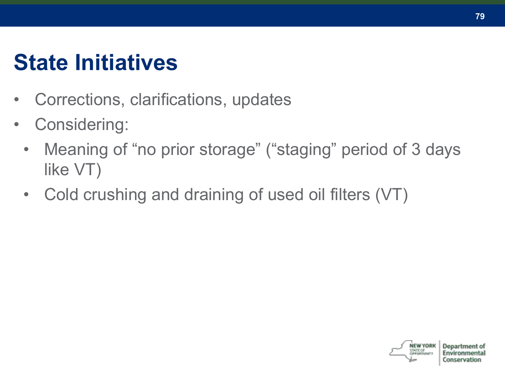### **State Initiatives**

- Corrections, clarifications, updates
- Considering:
	- Meaning of "no prior storage" ("staging" period of 3 days like VT)
	- Cold crushing and draining of used oil filters (VT)

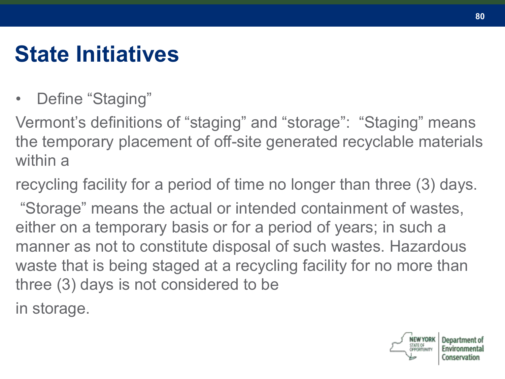# **State Initiatives**

• Define "Staging"

Vermont's definitions of "staging" and "storage": "Staging" means the temporary placement of off-site generated recyclable materials within a

recycling facility for a period of time no longer than three (3) days.

"Storage" means the actual or intended containment of wastes, either on a temporary basis or for a period of years; in such a manner as not to constitute disposal of such wastes. Hazardous waste that is being staged at a recycling facility for no more than three (3) days is not considered to be

in storage.



onservation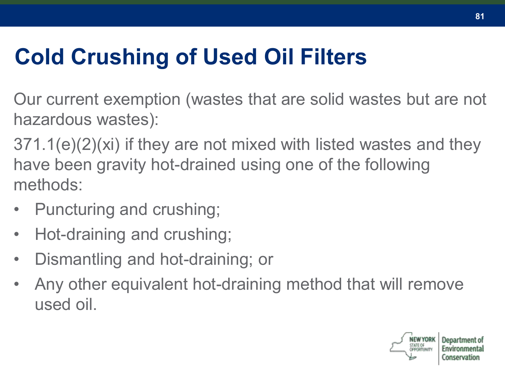# **Cold Crushing of Used Oil Filters**

Our current exemption (wastes that are solid wastes but are not hazardous wastes):

371.1(e)(2)(xi) if they are not mixed with listed wastes and they have been gravity hot-drained using one of the following methods:

- Puncturing and crushing;
- Hot-draining and crushing;
- Dismantling and hot-draining; or
- Any other equivalent hot-draining method that will remove used oil.

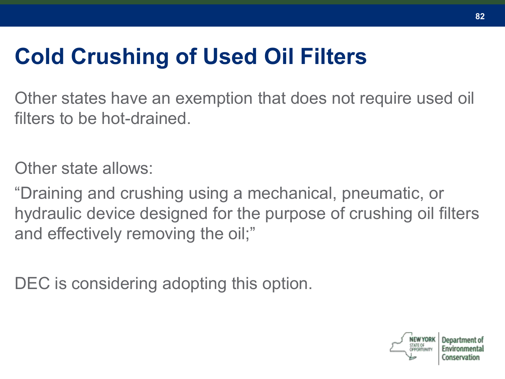# **Cold Crushing of Used Oil Filters**

Other states have an exemption that does not require used oil filters to be hot-drained.

Other state allows:

"Draining and crushing using a mechanical, pneumatic, or hydraulic device designed for the purpose of crushing oil filters and effectively removing the oil;"

DEC is considering adopting this option.

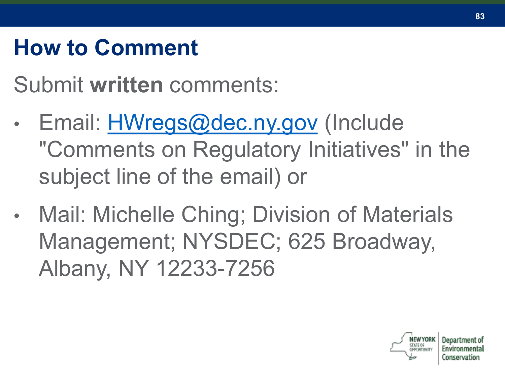# **How to Comment**

Submit **written** comments:

- Email: **[HWregs@dec.ny.gov](mailto:HWregs@dec.ny.gov)** (Include "Comments on Regulatory Initiatives" in the subject line of the email) or
- Mail: Michelle Ching; Division of Materials Management; NYSDEC; 625 Broadway, Albany, NY 12233-7256



**83**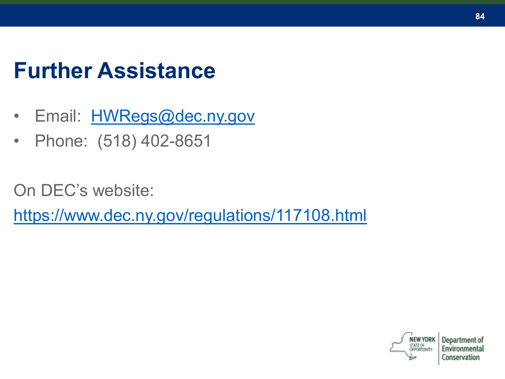### **Further Assistance**

- Email: [HWRegs@dec.ny.gov](mailto:HWRegs@dec.ny.gov)
- Phone: (518) 402-8651

On DEC's website:

<https://www.dec.ny.gov/regulations/117108.html>



**84**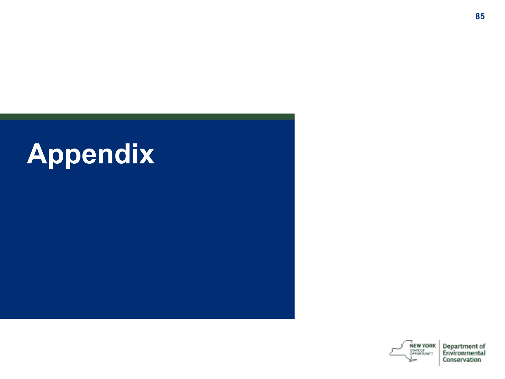



Department of Environmental Conservation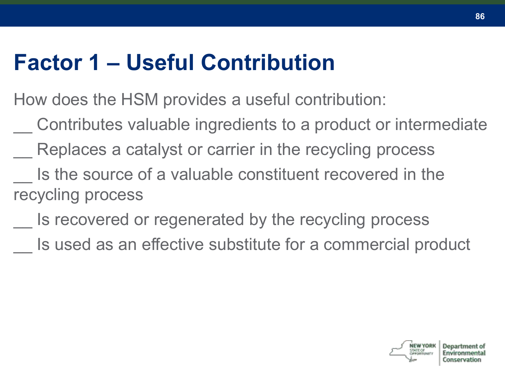### **Factor 1 – Useful Contribution**

How does the HSM provides a useful contribution:

- \_\_ Contributes valuable ingredients to a product or intermediate
- Replaces a catalyst or carrier in the recycling process
- Is the source of a valuable constituent recovered in the recycling process
	- Is recovered or regenerated by the recycling process
	- Is used as an effective substitute for a commercial product

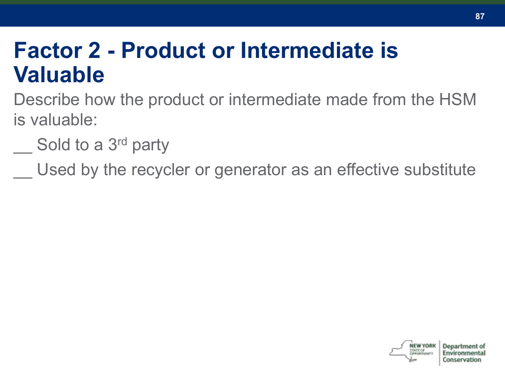#### **Factor 2 - Product or Intermediate is Valuable**

Describe how the product or intermediate made from the HSM is valuable:

Sold to a 3<sup>rd</sup> party

Used by the recycler or generator as an effective substitute

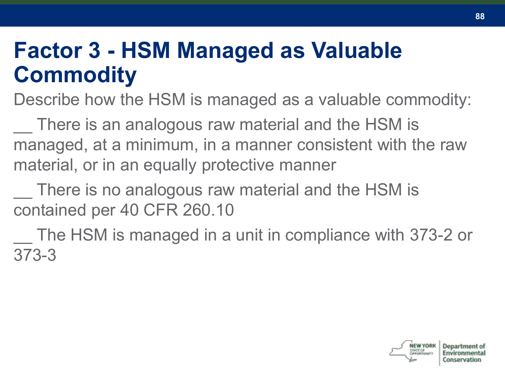### **Factor 3 - HSM Managed as Valuable Commodity**

Describe how the HSM is managed as a valuable commodity:

There is an analogous raw material and the HSM is managed, at a minimum, in a manner consistent with the raw material, or in an equally protective manner

There is no analogous raw material and the HSM is contained per 40 CFR 260.10

The HSM is managed in a unit in compliance with 373-2 or 373-3

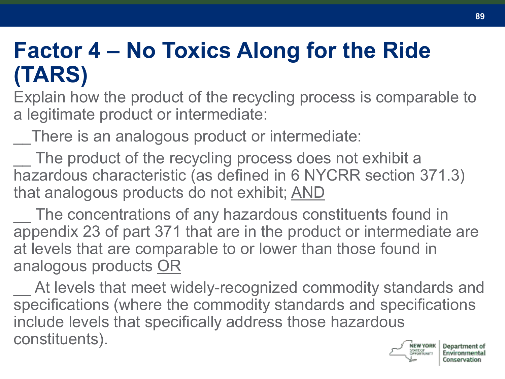### **Factor 4 – No Toxics Along for the Ride (TARS)**

Explain how the product of the recycling process is comparable to a legitimate product or intermediate:

There is an analogous product or intermediate:

The product of the recycling process does not exhibit a hazardous characteristic (as defined in 6 NYCRR section 371.3) that analogous products do not exhibit; AND

The concentrations of any hazardous constituents found in appendix 23 of part 371 that are in the product or intermediate are at levels that are comparable to or lower than those found in analogous products OR

At levels that meet widely-recognized commodity standards and specifications (where the commodity standards and specifications include levels that specifically address those hazardous constituents).Department of

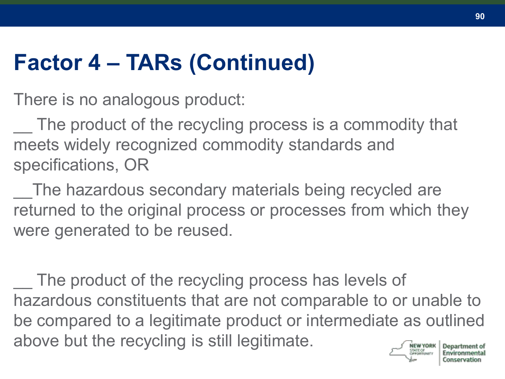# **Factor 4 – TARs (Continued)**

There is no analogous product:

The product of the recycling process is a commodity that meets widely recognized commodity standards and specifications, OR

The hazardous secondary materials being recycled are returned to the original process or processes from which they were generated to be reused.

The product of the recycling process has levels of hazardous constituents that are not comparable to or unable to be compared to a legitimate product or intermediate as outlined above but the recycling is still legitimate.